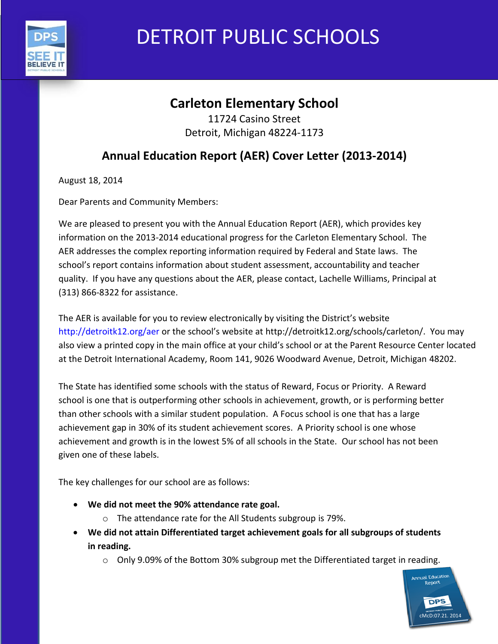

# DETROIT PUBLIC SCHOOLS

# **Carleton Elementary School**

11724 Casino Street Detroit, Michigan 48224-1173

# **Annual Education Report (AER) Cover Letter (2013-2014)**

August 18, 2014

Dear Parents and Community Members:

We are pleased to present you with the Annual Education Report (AER), which provides key information on the 2013-2014 educational progress for the Carleton Elementary School. The AER addresses the complex reporting information required by Federal and State laws. The school's report contains information about student assessment, accountability and teacher quality. If you have any questions about the AER, please contact, Lachelle Williams, Principal at (313) 866-8322 for assistance.

The AER is available for you to review electronically by visiting the District's website http://detroitk12.org/aer or the school's website at http://detroitk12.org/schools/carleton/. You may also view a printed copy in the main office at your child's school or at the Parent Resource Center located at the Detroit International Academy, Room 141, 9026 Woodward Avenue, Detroit, Michigan 48202.

The State has identified some schools with the status of Reward, Focus or Priority. A Reward school is one that is outperforming other schools in achievement, growth, or is performing better than other schools with a similar student population. A Focus school is one that has a large achievement gap in 30% of its student achievement scores. A Priority school is one whose achievement and growth is in the lowest 5% of all schools in the State. Our school has not been given one of these labels.

The key challenges for our school are as follows:

- **We did not meet the 90% attendance rate goal.**
	- o The attendance rate for the All Students subgroup is 79%.
- **We did not attain Differentiated target achievement goals for all subgroups of students in reading.**
	- $\circ$  Only 9.09% of the Bottom 30% subgroup met the Differentiated target in reading.

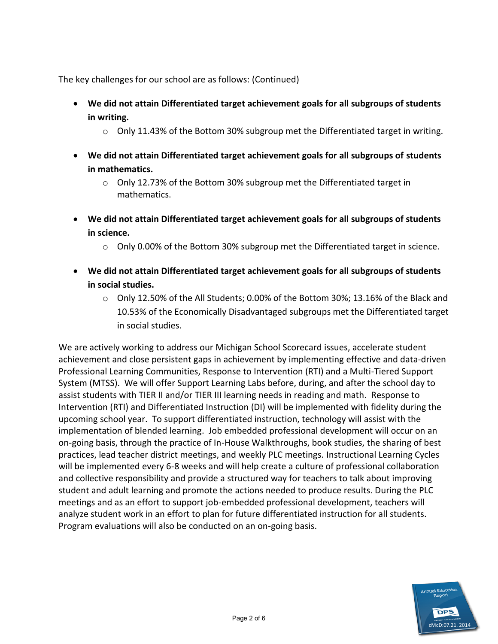The key challenges for our school are as follows: (Continued)

- **We did not attain Differentiated target achievement goals for all subgroups of students in writing.** 
	- $\circ$  Only 11.43% of the Bottom 30% subgroup met the Differentiated target in writing.
- **We did not attain Differentiated target achievement goals for all subgroups of students in mathematics.** 
	- o Only 12.73% of the Bottom 30% subgroup met the Differentiated target in mathematics.
- **We did not attain Differentiated target achievement goals for all subgroups of students in science.** 
	- $\circ$  Only 0.00% of the Bottom 30% subgroup met the Differentiated target in science.
- **We did not attain Differentiated target achievement goals for all subgroups of students in social studies.** 
	- $\circ$  Only 12.50% of the All Students; 0.00% of the Bottom 30%; 13.16% of the Black and 10.53% of the Economically Disadvantaged subgroups met the Differentiated target in social studies.

We are actively working to address our Michigan School Scorecard issues, accelerate student achievement and close persistent gaps in achievement by implementing effective and data-driven Professional Learning Communities, Response to Intervention (RTI) and a Multi-Tiered Support System (MTSS). We will offer Support Learning Labs before, during, and after the school day to assist students with TIER II and/or TIER III learning needs in reading and math. Response to Intervention (RTI) and Differentiated Instruction (DI) will be implemented with fidelity during the upcoming school year. To support differentiated instruction, technology will assist with the implementation of blended learning. Job embedded professional development will occur on an on-going basis, through the practice of In-House Walkthroughs, book studies, the sharing of best practices, lead teacher district meetings, and weekly PLC meetings. Instructional Learning Cycles will be implemented every 6-8 weeks and will help create a culture of professional collaboration and collective responsibility and provide a structured way for teachers to talk about improving student and adult learning and promote the actions needed to produce results. During the PLC meetings and as an effort to support job-embedded professional development, teachers will analyze student work in an effort to plan for future differentiated instruction for all students. Program evaluations will also be conducted on an on-going basis.

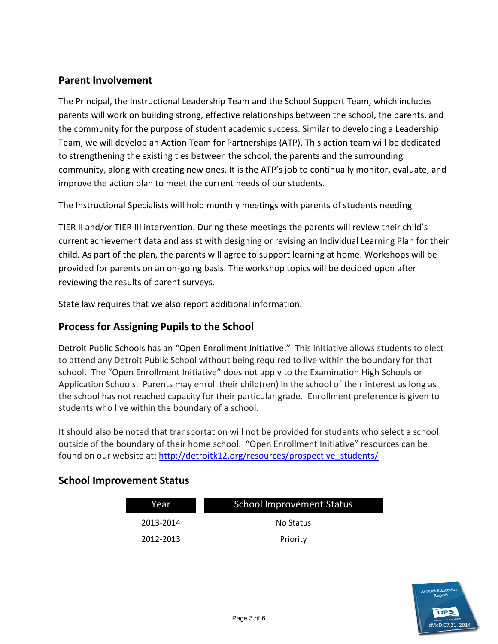### **Parent Involvement**

The Principal, the Instructional Leadership Team and the School Support Team, which includes parents will work on building strong, effective relationships between the school, the parents, and the community for the purpose of student academic success. Similar to developing a Leadership Team, we will develop an Action Team for Partnerships (ATP). This action team will be dedicated to strengthening the existing ties between the school, the parents and the surrounding community, along with creating new ones. It is the ATP's job to continually monitor, evaluate, and improve the action plan to meet the current needs of our students.

The Instructional Specialists will hold monthly meetings with parents of students needing

TIER II and/or TIER III intervention. During these meetings the parents will review their child's current achievement data and assist with designing or revising an Individual Learning Plan for their child. As part of the plan, the parents will agree to support learning at home. Workshops will be provided for parents on an on-going basis. The workshop topics will be decided upon after reviewing the results of parent surveys.

State law requires that we also report additional information.

#### **Process for Assigning Pupils to the School**

Detroit Public Schools has an "Open Enrollment Initiative." This initiative allows students to elect to attend any Detroit Public School without being required to live within the boundary for that school. The "Open Enrollment Initiative" does not apply to the Examination High Schools or Application Schools. Parents may enroll their child(ren) in the school of their interest as long as the school has not reached capacity for their particular grade. Enrollment preference is given to students who live within the boundary of a school.

It should also be noted that transportation will not be provided for students who select a school outside of the boundary of their home school. "Open Enrollment Initiative" resources can be found on our website at: [http://detroitk12.org/resources/prospective\\_students/](http://detroitk12.org/resources/prospective_students/)

#### **School Improvement Status**

| Year      | <b>School Improvement Status</b> |  |
|-----------|----------------------------------|--|
| 2013-2014 | No Status                        |  |
| 2012-2013 | Priority                         |  |

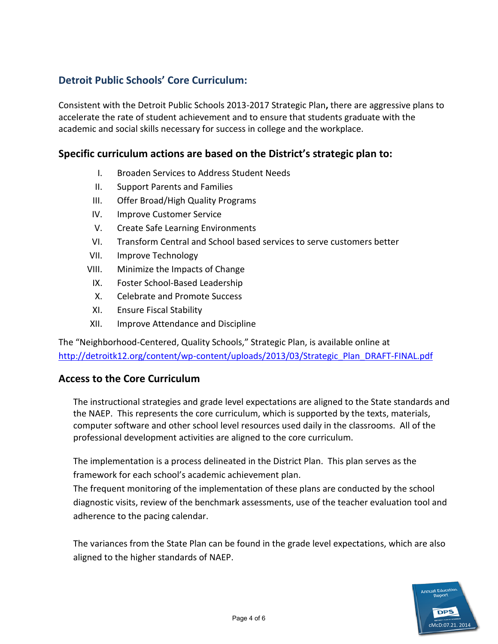## **Detroit Public Schools' Core Curriculum:**

Consistent with the Detroit Public Schools 2013-2017 Strategic Plan**,** there are aggressive plans to accelerate the rate of student achievement and to ensure that students graduate with the academic and social skills necessary for success in college and the workplace.

#### **Specific curriculum actions are based on the District's strategic plan to:**

- I. Broaden Services to Address Student Needs
- II. Support Parents and Families
- III. Offer Broad/High Quality Programs
- IV. Improve Customer Service
- V. Create Safe Learning Environments
- VI. Transform Central and School based services to serve customers better
- VII. Improve Technology
- VIII. Minimize the Impacts of Change
	- IX. Foster School-Based Leadership
	- X. Celebrate and Promote Success
- XI. Ensure Fiscal Stability
- XII. Improve Attendance and Discipline

The "Neighborhood-Centered, Quality Schools," Strategic Plan, is available online at [http://detroitk12.org/content/wp-content/uploads/2013/03/Strategic\\_Plan\\_DRAFT-FINAL.pdf](http://detroitk12.org/content/wp-content/uploads/2013/03/Strategic_Plan_DRAFT-FINAL.pdf)

#### **Access to the Core Curriculum**

The instructional strategies and grade level expectations are aligned to the State standards and the NAEP. This represents the core curriculum, which is supported by the texts, materials, computer software and other school level resources used daily in the classrooms. All of the professional development activities are aligned to the core curriculum.

The implementation is a process delineated in the District Plan. This plan serves as the framework for each school's academic achievement plan.

The frequent monitoring of the implementation of these plans are conducted by the school diagnostic visits, review of the benchmark assessments, use of the teacher evaluation tool and adherence to the pacing calendar.

The variances from the State Plan can be found in the grade level expectations, which are also aligned to the higher standards of NAEP.

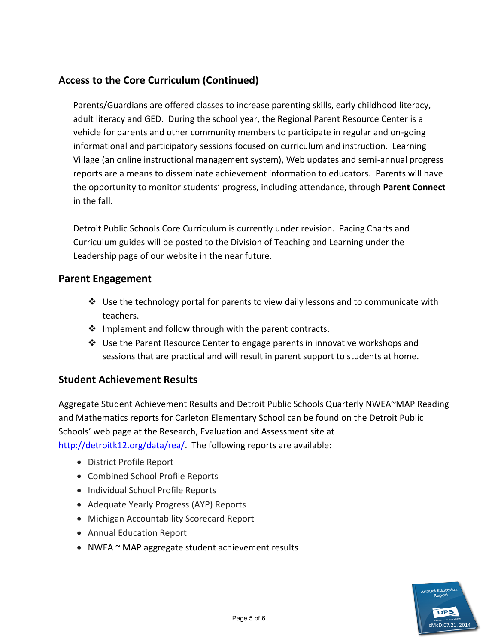## **Access to the Core Curriculum (Continued)**

Parents/Guardians are offered classes to increase parenting skills, early childhood literacy, adult literacy and GED. During the school year, the Regional Parent Resource Center is a vehicle for parents and other community members to participate in regular and on-going informational and participatory sessions focused on curriculum and instruction. Learning Village (an online instructional management system), Web updates and semi-annual progress reports are a means to disseminate achievement information to educators. Parents will have the opportunity to monitor students' progress, including attendance, through **Parent Connect**  in the fall.

Detroit Public Schools Core Curriculum is currently under revision. Pacing Charts and Curriculum guides will be posted to the Division of Teaching and Learning under the Leadership page of our website in the near future.

#### **Parent Engagement**

- $\clubsuit$  Use the technology portal for parents to view daily lessons and to communicate with teachers.
- $\cdot \cdot$  Implement and follow through with the parent contracts.
- Use the Parent Resource Center to engage parents in innovative workshops and sessions that are practical and will result in parent support to students at home.

#### **Student Achievement Results**

Aggregate Student Achievement Results and Detroit Public Schools Quarterly NWEA~MAP Reading and Mathematics reports for Carleton Elementary School can be found on the Detroit Public Schools' web page at the Research, Evaluation and Assessment site at [http://detroitk12.org/data/rea/.](http://detroitk12.org/data/rea/) The following reports are available:

- District Profile Report
- Combined School Profile Reports
- Individual School Profile Reports
- Adequate Yearly Progress (AYP) Reports
- Michigan Accountability Scorecard Report
- Annual Education Report
- NWEA ~ MAP aggregate student achievement results